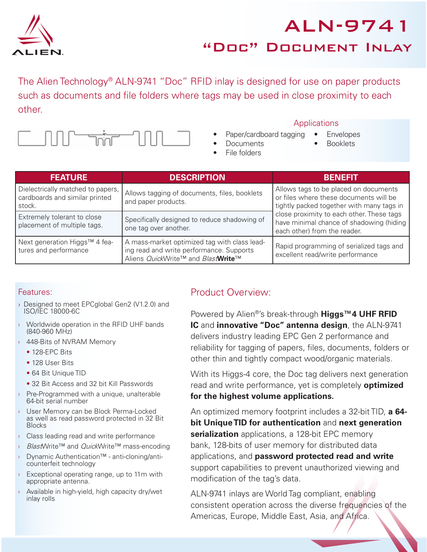

# ALN-9741 "Doc" Document Inlay

The Alien Technology<sup>®</sup> ALN-9741 "Doc" RFID inlay is designed for use on paper products such as documents and file folders where tags may be used in close proximity to each other.



#### **Applications**

- Paper/cardboard tagging
- Documents File folders
- Envelopes
- Booklets

| <b>FEATURE</b>                                                                | <b>DESCRIPTION</b>                                                                                                             | <b>BENEFIT</b>                                                                                                                                                                                                                                        |  |  |
|-------------------------------------------------------------------------------|--------------------------------------------------------------------------------------------------------------------------------|-------------------------------------------------------------------------------------------------------------------------------------------------------------------------------------------------------------------------------------------------------|--|--|
| Dielectrically matched to papers,<br>cardboards and similar printed<br>stock. | Allows tagging of documents, files, booklets<br>and paper products.                                                            | Allows tags to be placed on documents<br>or files where these documents will be<br>tightly packed together with many tags in<br>close proximity to each other. These tags<br>have minimal chance of shadowing (hiding<br>each other) from the reader. |  |  |
| Extremely tolerant to close<br>placement of multiple tags.                    | Specifically designed to reduce shadowing of<br>one tag over another.                                                          |                                                                                                                                                                                                                                                       |  |  |
| Next generation Higgs™ 4 fea-<br>tures and performance                        | A mass-market optimized tag with class lead-<br>ing read and write performance. Supports<br>Aliens QuickWrite™ and BlastWrite™ | Rapid programming of serialized tags and<br>excellent read/write performance                                                                                                                                                                          |  |  |

#### Features:

- › Designed to meet EPCglobal Gen2 (V1.2.0) and ISO/IEC 18000-6C
- Worldwide operation in the RFID UHF bands (840-960 MHz)
- › 448-Bits of NVRAM Memory
	- 128-EPC Bits
	- 128 User Bits
	- 64 Bit Unique TID
	- 32 Bit Access and 32 bit Kill Passwords
- Pre-Programmed with a unique, unalterable 64-bit serial number
- › User Memory can be Block Perma-Locked as well as read password protected in 32 Bit Blocks
- › Class leading read and write performance
- > BlastWrite™ and QuickWrite™ mass-encoding
- › Dynamic Authentication™ anti-cloning/anticounterfeit technology
- Exceptional operating range, up to 11m with appropriate antenna.
- Available in high-yield, high capacity dry/wet inlay rolls

# Product Overview:

Powered by Alien®'s break-through **Higgs™4 UHF RFID IC** and **innovative "Doc" antenna design**, the ALN-9741 delivers industry leading EPC Gen 2 performance and reliability for tagging of papers, files, documents, folders or other thin and tightly compact wood/organic materials.

With its Higgs-4 core, the Doc tag delivers next generation read and write performance, yet is completely **optimized for the highest volume applications.**

An optimized memory footprint includes a 32-bit TID, **a 64 bit Unique TID for authentication** and **next generation serialization** applications, a 128-bit EPC memory bank, 128-bits of user memory for distributed data applications, and **password protected read and write** support capabilities to prevent unauthorized viewing and modification of the tag's data.

ALN-9741 inlays are World Tag compliant, enabling consistent operation across the diverse frequencies of the Americas, Europe, Middle East, Asia, and Africa.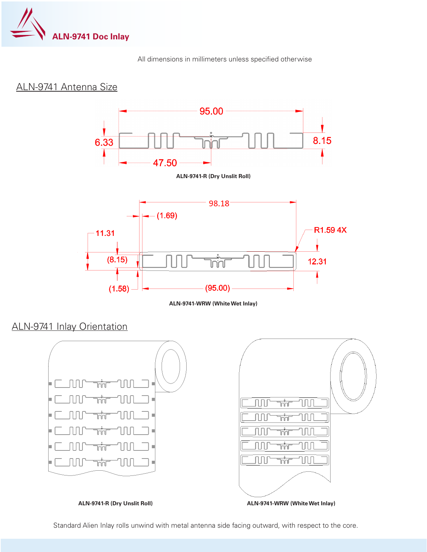

All dimensions in millimeters unless specified otherwise

## ALN-9741 Antenna Size



**ALN-9741-WRW (White Wet Inlay)**

ALN-9741 Inlay Orientation



Standard Alien Inlay rolls unwind with metal antenna side facing outward, with respect to the core.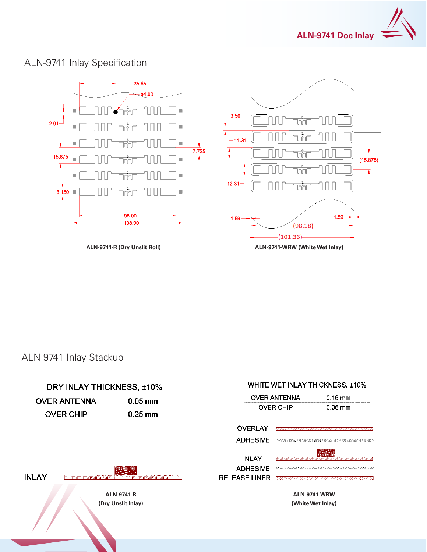

# ALN-9741 Inlay Specification



### ALN-9741 Inlay Stackup

| DRY INLAY THICKNESS, ±10%                               |           | WHITE WET INLAY THICKNESS, ±10% |                     |                                          |
|---------------------------------------------------------|-----------|---------------------------------|---------------------|------------------------------------------|
| <b>OVER ANTENNA</b>                                     | $0.05$ mm |                                 | <b>OVER ANTENNA</b> | $0.16$ mm                                |
| <b>OVER CHIP</b>                                        | $0.25$ mm |                                 | <b>OVER CHIP</b>    | $0.36$ mm                                |
|                                                         |           | <b>OVERLAY</b>                  |                     |                                          |
| <b>INLAY</b><br><b>ALN-9741-R</b><br>(Dry Unslit Inlay) |           | <b>ADHESIVE</b>                 |                     |                                          |
|                                                         |           | <b>INLAY</b>                    |                     |                                          |
|                                                         |           | <b>ADHESIVE</b>                 |                     |                                          |
|                                                         |           | <b>RELEASE LINER</b>            |                     | <i>STURNUMURALING TUMBURU KURUMURALI</i> |
|                                                         |           |                                 |                     | <b>ALN-9741-WRW</b>                      |
|                                                         |           |                                 |                     | (White Wet Inlay)                        |
|                                                         |           |                                 |                     |                                          |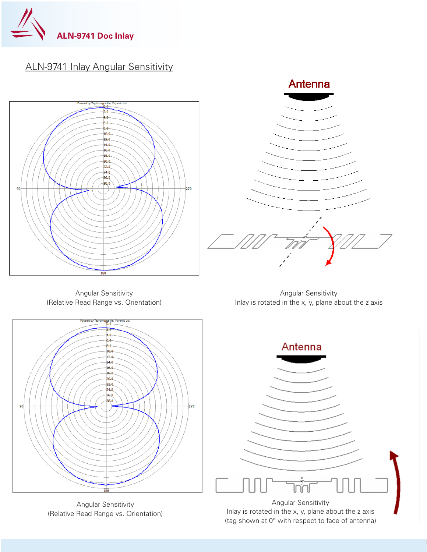

# ALN-9741 Inlay Angular Sensitivity





Angular Sensitivity (Relative Read Range vs. Orientation)

Angular Sensitivity Inlay is rotated in the x, y, plane about the z axis